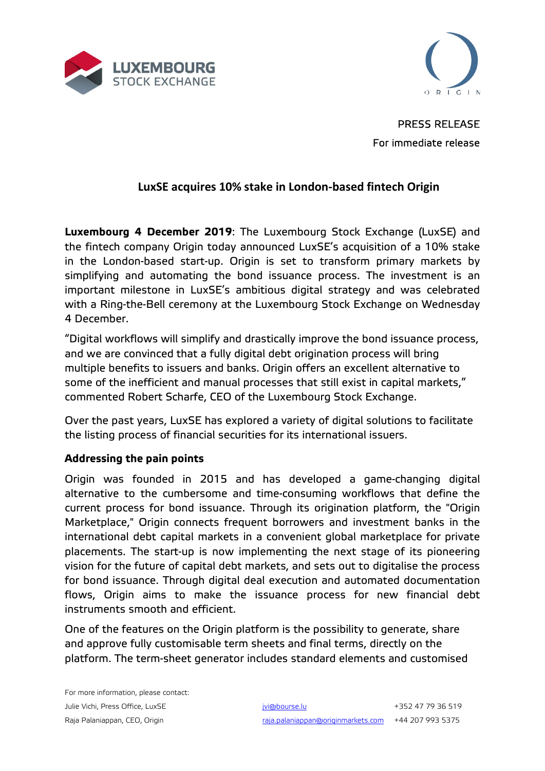



PRESS RELEASE For immediate release

# **LuxSE acquires 10% stake in London-based fintech Origin**

**Luxembourg 4 December 2019**: The Luxembourg Stock Exchange (LuxSE) and the fintech company Origin today announced LuxSE's acquisition of a 10% stake in the London-based start-up. Origin is set to transform primary markets by simplifying and automating the bond issuance process. The investment is an important milestone in LuxSE's ambitious digital strategy and was celebrated with a Ring-the-Bell ceremony at the Luxembourg Stock Exchange on Wednesday 4 December.

"Digital workflows will simplify and drastically improve the bond issuance process, and we are convinced that a fully digital debt origination process will bring multiple benefits to issuers and banks. Origin offers an excellent alternative to some of the inefficient and manual processes that still exist in capital markets," commented Robert Scharfe, CEO of the Luxembourg Stock Exchange.

Over the past years, LuxSE has explored a variety of digital solutions to facilitate the listing process of financial securities for its international issuers.

## **Addressing the pain points**

Origin was founded in 2015 and has developed a game-changing digital alternative to the cumbersome and time-consuming workflows that define the current process for bond issuance. Through its origination platform, the "Origin Marketplace," Origin connects frequent borrowers and investment banks in the international debt capital markets in a convenient global marketplace for private placements. The start-up is now implementing the next stage of its pioneering vision for the future of capital debt markets, and sets out to digitalise the process for bond issuance. Through digital deal execution and automated documentation flows, Origin aims to make the issuance process for new financial debt instruments smooth and efficient.

One of the features on the Origin platform is the possibility to generate, share and approve fully customisable term sheets and final terms, directly on the platform. The term-sheet generator includes standard elements and customised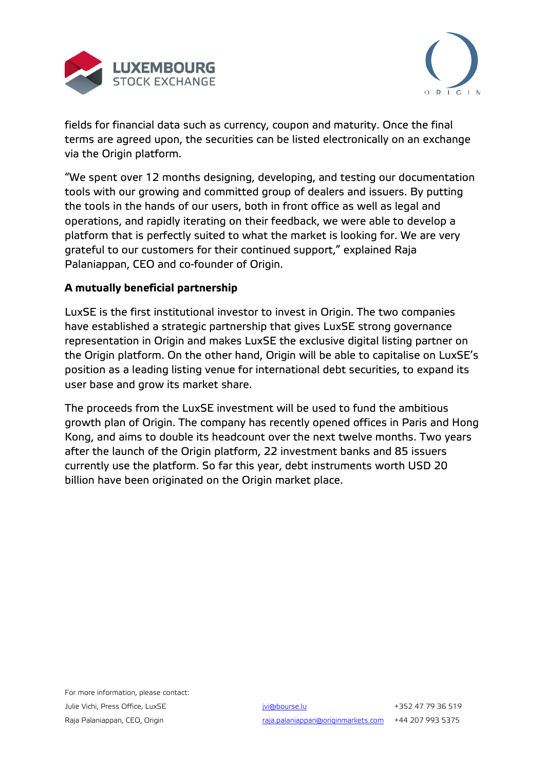



fields for financial data such as currency, coupon and maturity. Once the final terms are agreed upon, the securities can be listed electronically on an exchange via the Origin platform.

"We spent over 12 months designing, developing, and testing our documentation tools with our growing and committed group of dealers and issuers. By putting the tools in the hands of our users, both in front office as well as legal and operations, and rapidly iterating on their feedback, we were able to develop a platform that is perfectly suited to what the market is looking for. We are very grateful to our customers for their continued support," explained Raja Palaniappan, CEO and co-founder of Origin.

### **A mutually beneficial partnership**

LuxSE is the first institutional investor to invest in Origin. The two companies have established a strategic partnership that gives LuxSE strong governance representation in Origin and makes LuxSE the exclusive digital listing partner on the Origin platform. On the other hand, Origin will be able to capitalise on LuxSE's position as a leading listing venue for international debt securities, to expand its user base and grow its market share.

The proceeds from the LuxSE investment will be used to fund the ambitious growth plan of Origin. The company has recently opened offices in Paris and Hong Kong, and aims to double its headcount over the next twelve months. Two years after the launch of the Origin platform, 22 investment banks and 85 issuers currently use the platform. So far this year, debt instruments worth USD 20 billion have been originated on the Origin market place.